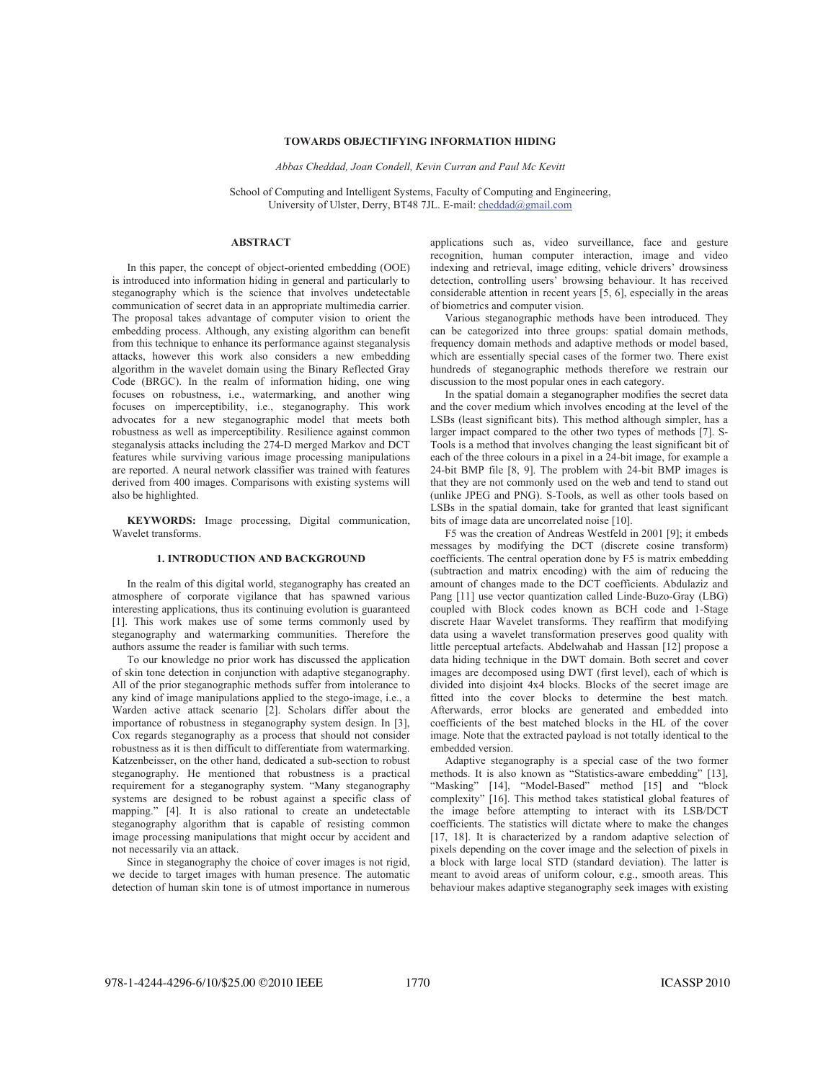## **TOWARDS OBJECTIFYING INFORMATION HIDING**

*Abbas Cheddad, Joan Condell, Kevin Curran and Paul Mc Kevitt* 

School of Computing and Intelligent Systems, Faculty of Computing and Engineering, University of Ulster, Derry, BT48 7JL. E-mail: cheddad@gmail.com

## **ABSTRACT**

In this paper, the concept of object-oriented embedding (OOE) is introduced into information hiding in general and particularly to steganography which is the science that involves undetectable communication of secret data in an appropriate multimedia carrier. The proposal takes advantage of computer vision to orient the embedding process. Although, any existing algorithm can benefit from this technique to enhance its performance against steganalysis attacks, however this work also considers a new embedding algorithm in the wavelet domain using the Binary Reflected Gray Code (BRGC). In the realm of information hiding, one wing focuses on robustness, i.e., watermarking, and another wing focuses on imperceptibility, i.e., steganography. This work advocates for a new steganographic model that meets both robustness as well as imperceptibility. Resilience against common steganalysis attacks including the 274-D merged Markov and DCT features while surviving various image processing manipulations are reported. A neural network classifier was trained with features derived from 400 images. Comparisons with existing systems will also be highlighted.

**KEYWORDS:** Image processing, Digital communication, Wavelet transforms.

### **1. INTRODUCTION AND BACKGROUND**

In the realm of this digital world, steganography has created an atmosphere of corporate vigilance that has spawned various interesting applications, thus its continuing evolution is guaranteed [1]. This work makes use of some terms commonly used by steganography and watermarking communities. Therefore the authors assume the reader is familiar with such terms.

To our knowledge no prior work has discussed the application of skin tone detection in conjunction with adaptive steganography. All of the prior steganographic methods suffer from intolerance to any kind of image manipulations applied to the stego-image, i.e., a Warden active attack scenario [2]. Scholars differ about the importance of robustness in steganography system design. In [3], Cox regards steganography as a process that should not consider robustness as it is then difficult to differentiate from watermarking. Katzenbeisser, on the other hand, dedicated a sub-section to robust steganography. He mentioned that robustness is a practical requirement for a steganography system. "Many steganography systems are designed to be robust against a specific class of mapping." [4]. It is also rational to create an undetectable steganography algorithm that is capable of resisting common image processing manipulations that might occur by accident and not necessarily via an attack.

Since in steganography the choice of cover images is not rigid, we decide to target images with human presence. The automatic detection of human skin tone is of utmost importance in numerous

applications such as, video surveillance, face and gesture recognition, human computer interaction, image and video indexing and retrieval, image editing, vehicle drivers' drowsiness detection, controlling users' browsing behaviour. It has received considerable attention in recent years [5, 6], especially in the areas of biometrics and computer vision.

Various steganographic methods have been introduced. They can be categorized into three groups: spatial domain methods, frequency domain methods and adaptive methods or model based, which are essentially special cases of the former two. There exist hundreds of steganographic methods therefore we restrain our discussion to the most popular ones in each category.

In the spatial domain a steganographer modifies the secret data and the cover medium which involves encoding at the level of the LSBs (least significant bits). This method although simpler, has a larger impact compared to the other two types of methods [7]. S-Tools is a method that involves changing the least significant bit of each of the three colours in a pixel in a 24-bit image, for example a 24-bit BMP file [8, 9]. The problem with 24-bit BMP images is that they are not commonly used on the web and tend to stand out (unlike JPEG and PNG). S-Tools, as well as other tools based on LSBs in the spatial domain, take for granted that least significant bits of image data are uncorrelated noise [10].

F5 was the creation of Andreas Westfeld in 2001 [9]; it embeds messages by modifying the DCT (discrete cosine transform) coefficients. The central operation done by F5 is matrix embedding (subtraction and matrix encoding) with the aim of reducing the amount of changes made to the DCT coefficients. Abdulaziz and Pang [11] use vector quantization called Linde-Buzo-Gray (LBG) coupled with Block codes known as BCH code and 1-Stage discrete Haar Wavelet transforms. They reaffirm that modifying data using a wavelet transformation preserves good quality with little perceptual artefacts. Abdelwahab and Hassan [12] propose a data hiding technique in the DWT domain. Both secret and cover images are decomposed using DWT (first level), each of which is divided into disjoint 4x4 blocks. Blocks of the secret image are fitted into the cover blocks to determine the best match. Afterwards, error blocks are generated and embedded into coefficients of the best matched blocks in the HL of the cover image. Note that the extracted payload is not totally identical to the embedded version.

Adaptive steganography is a special case of the two former methods. It is also known as "Statistics-aware embedding" [13], "Masking" [14], "Model-Based" method [15] and "block" complexity" [16]. This method takes statistical global features of the image before attempting to interact with its LSB/DCT coefficients. The statistics will dictate where to make the changes [17, 18]. It is characterized by a random adaptive selection of pixels depending on the cover image and the selection of pixels in a block with large local STD (standard deviation). The latter is meant to avoid areas of uniform colour, e.g., smooth areas. This behaviour makes adaptive steganography seek images with existing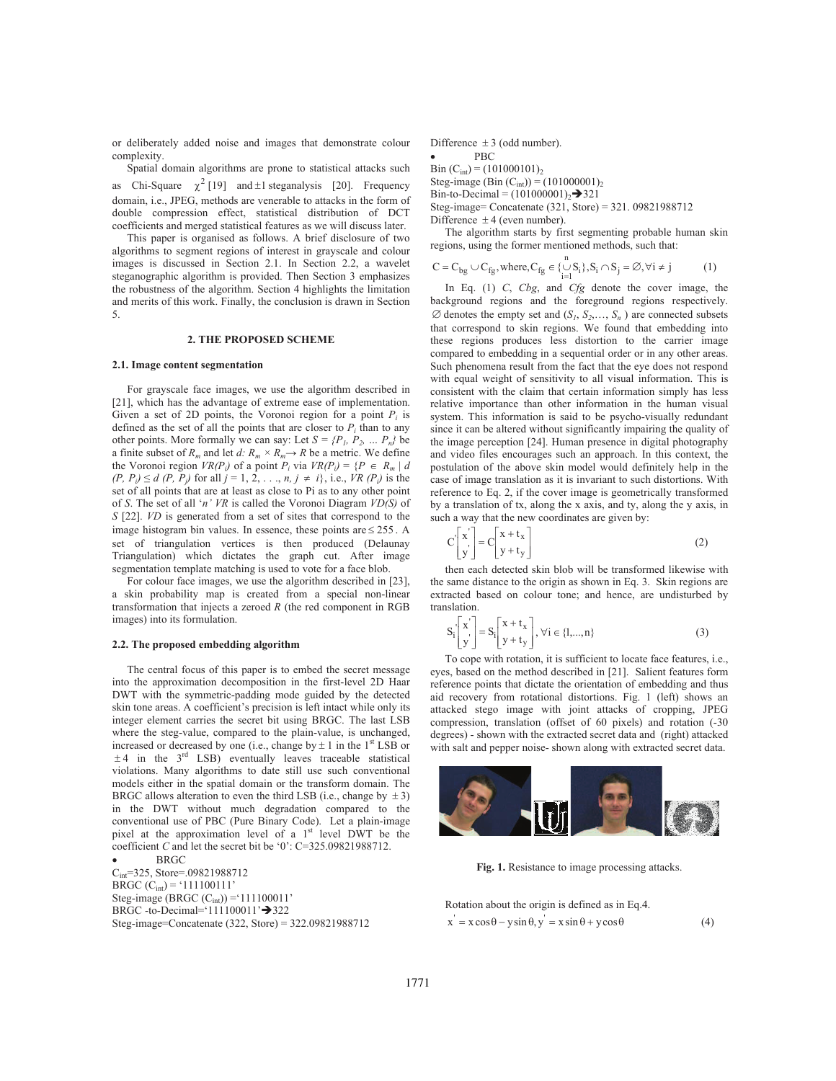or deliberately added noise and images that demonstrate colour complexity.

Spatial domain algorithms are prone to statistical attacks such as Chi-Square  $\chi^2$  [19] and  $\pm 1$  steganalysis [20]. Frequency domain, i.e., JPEG, methods are venerable to attacks in the form of double compression effect, statistical distribution of DCT coefficients and merged statistical features as we will discuss later.

This paper is organised as follows. A brief disclosure of two algorithms to segment regions of interest in grayscale and colour images is discussed in Section 2.1. In Section 2.2, a wavelet steganographic algorithm is provided. Then Section 3 emphasizes the robustness of the algorithm. Section 4 highlights the limitation and merits of this work. Finally, the conclusion is drawn in Section 5.

### **2. THE PROPOSED SCHEME**

#### **2.1. Image content segmentation**

For grayscale face images, we use the algorithm described in [21], which has the advantage of extreme ease of implementation. Given a set of 2D points, the Voronoi region for a point  $P_i$  is defined as the set of all the points that are closer to  $P_i$  than to any other points. More formally we can say: Let  $S = {P_1, P_2, ..., P_n}$  be a finite subset of  $R_m$  and let *d:*  $R_m \times R_m \rightarrow R$  be a metric. We define the Voronoi region  $VR(P_i)$  of a point  $P_i$  via  $VR(P_i) = {P \in R_m | d}$  $(P, P_i) \le d$   $(P, P_j)$  for all  $j = 1, 2, ..., n, j \ne i$ , i.e., *VR*  $(P_i)$  is the set of all points that are at least as close to Pi as to any other point of *S*. The set of all '*n' VR* is called the Voronoi Diagram *VD(S)* of *S* [22]. *VD* is generated from a set of sites that correspond to the image histogram bin values. In essence, these points are  $\leq$  255. A set of triangulation vertices is then produced (Delaunay Triangulation) which dictates the graph cut. After image segmentation template matching is used to vote for a face blob.

For colour face images, we use the algorithm described in [23], a skin probability map is created from a special non-linear transformation that injects a zeroed *R* (the red component in RGB images) into its formulation.

## **2.2. The proposed embedding algorithm**

The central focus of this paper is to embed the secret message into the approximation decomposition in the first-level 2D Haar DWT with the symmetric-padding mode guided by the detected skin tone areas. A coefficient's precision is left intact while only its integer element carries the secret bit using BRGC. The last LSB where the steg-value, compared to the plain-value, is unchanged, increased or decreased by one (i.e., change by  $\pm 1$  in the 1<sup>st</sup> LSB or  $\pm$  4 in the 3<sup>rd</sup> LSB) eventually leaves traceable statistical violations. Many algorithms to date still use such conventional models either in the spatial domain or the transform domain. The BRGC allows alteration to even the third LSB (i.e., change by  $\pm 3$ ) in the DWT without much degradation compared to the conventional use of PBC (Pure Binary Code). Let a plain-image pixel at the approximation level of a  $1<sup>st</sup>$  level DWT be the coefficient *C* and let the secret bit be '0': C=325.09821988712.

**BRGC** Cint=325, Store=.09821988712 BRGC  $(C_{int}) = '111100111'$ Steg-image (BRGC (C<sub>int</sub>)) = '111100011' BRGC -to-Decimal= $'111100011'$  $\rightarrow$  322 Steg-image=Concatenate (322, Store) = 322.09821988712 Difference  $\pm 3$  (odd number).

PBC  $Bin (C<sub>int</sub>) = (101000101)<sub>2</sub>$ 

Steg-image (Bin  $(C_{int})$ ) = (101000001)<sub>2</sub>

Bin-to-Decimal =  $(101000001)_{2}$   $\rightarrow$  321

Steg-image= Concatenate (321, Store) = 321. 09821988712

Difference  $\pm 4$  (even number).

n

The algorithm starts by first segmenting probable human skin regions, using the former mentioned methods, such that:

$$
C = C_{bg} \cup C_{fg}, \text{where, } C_{fg} \in \{ \bigcup_{i=1}^{n} S_i \}, S_i \cap S_j = \emptyset, \forall i \neq j \tag{1}
$$

In Eq. (1) *C*, *Cbg*, and *Cfg* denote the cover image, the background regions and the foreground regions respectively.  $\emptyset$  denotes the empty set and  $(S_1, S_2, \ldots, S_n)$  are connected subsets that correspond to skin regions. We found that embedding into these regions produces less distortion to the carrier image compared to embedding in a sequential order or in any other areas. Such phenomena result from the fact that the eye does not respond with equal weight of sensitivity to all visual information. This is consistent with the claim that certain information simply has less relative importance than other information in the human visual system. This information is said to be psycho-visually redundant since it can be altered without significantly impairing the quality of the image perception [24]. Human presence in digital photography and video files encourages such an approach. In this context, the postulation of the above skin model would definitely help in the case of image translation as it is invariant to such distortions. With reference to Eq. 2, if the cover image is geometrically transformed by a translation of tx, along the x axis, and ty, along the y axis, in such a way that the new coordinates are given by:

$$
C\begin{bmatrix} x' \\ y' \end{bmatrix} = C\begin{bmatrix} x + t_x \\ y + t_y \end{bmatrix}
$$
 (2)

then each detected skin blob will be transformed likewise with the same distance to the origin as shown in Eq. 3. Skin regions are extracted based on colour tone; and hence, are undisturbed by translation.

$$
S_i \begin{bmatrix} x' \\ y' \end{bmatrix} = S_i \begin{bmatrix} x + t_x \\ y + t_y \end{bmatrix}, \forall i \in \{1, ..., n\}
$$
 (3)

To cope with rotation, it is sufficient to locate face features, i.e., eyes, based on the method described in [21]. Salient features form reference points that dictate the orientation of embedding and thus aid recovery from rotational distortions. Fig. 1 (left) shows an attacked stego image with joint attacks of cropping, JPEG compression, translation (offset of 60 pixels) and rotation (-30 degrees) - shown with the extracted secret data and (right) attacked with salt and pepper noise- shown along with extracted secret data.



**Fig. 1.** Resistance to image processing attacks.

Rotation about the origin is defined as in Eq.4.  
\n
$$
x' = x \cos \theta - y \sin \theta, y' = x \sin \theta + y \cos \theta
$$
\n(4)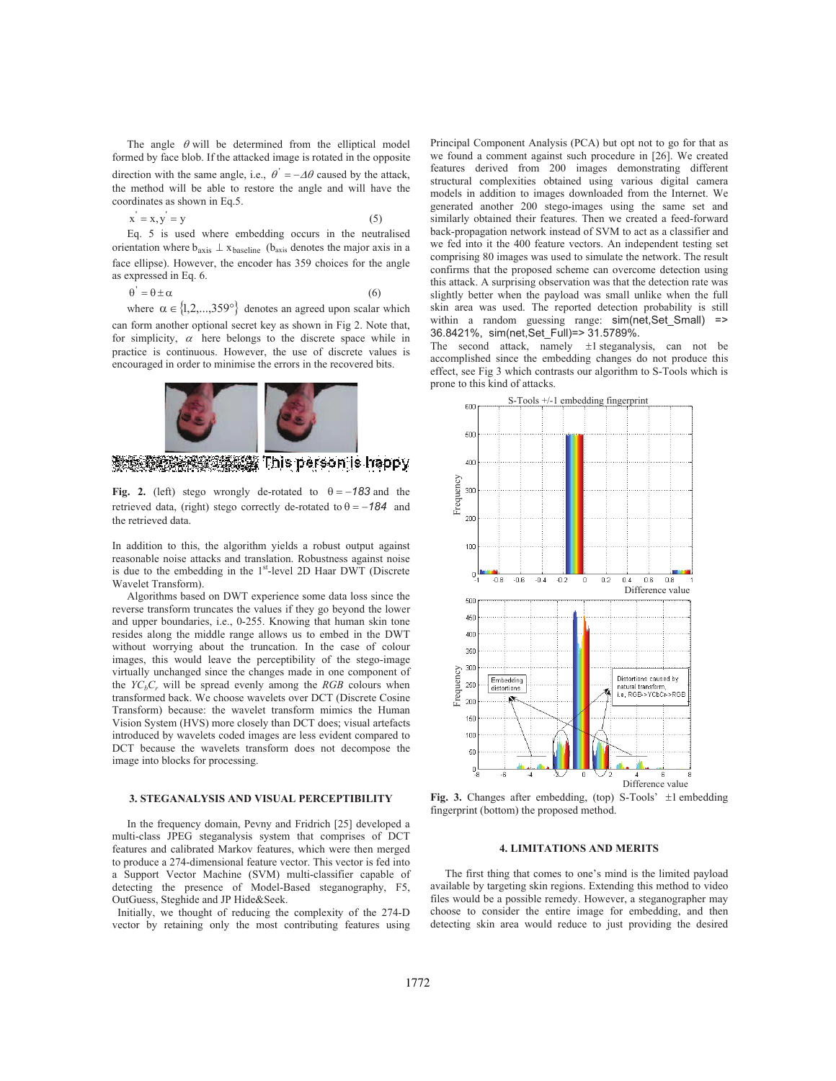The angle  $\theta$  will be determined from the elliptical model formed by face blob. If the attacked image is rotated in the opposite direction with the same angle, i.e.,  $\theta' = -\Delta\theta$  caused by the attack, the method will be able to restore the angle and will have the coordinates as shown in Eq.5.

$$
x' = x, y' = y \tag{5}
$$

Eq. 5 is used where embedding occurs in the neutralised orientation where  $b_{axis} \perp x_{baseline}$  ( $b_{axis}$  denotes the major axis in a face ellipse). However, the encoder has 359 choices for the angle as expressed in Eq. 6.

 $\theta^{'} = \theta \pm \alpha$ 

(6)

where  $\alpha \in \{1, 2, \ldots, 359^{\circ}\}\$  denotes an agreed upon scalar which can form another optional secret key as shown in Fig 2. Note that, for simplicity,  $\alpha$  here belongs to the discrete space while in practice is continuous. However, the use of discrete values is encouraged in order to minimise the errors in the recovered bits.



# 数据数据数据数据 This person is happy

**Fig. 2.** (left) stego wrongly de-rotated to  $\theta = -183$  and the retrieved data, (right) stego correctly de-rotated to  $\theta = -184$  and the retrieved data.

In addition to this, the algorithm yields a robust output against reasonable noise attacks and translation. Robustness against noise is due to the embedding in the 1<sup>st</sup>-level 2D Haar DWT (Discrete Wavelet Transform).

Algorithms based on DWT experience some data loss since the reverse transform truncates the values if they go beyond the lower and upper boundaries, i.e., 0-255. Knowing that human skin tone resides along the middle range allows us to embed in the DWT without worrying about the truncation. In the case of colour images, this would leave the perceptibility of the stego-image virtually unchanged since the changes made in one component of the  $YC_bC_r$  will be spread evenly among the *RGB* colours when transformed back. We choose wavelets over DCT (Discrete Cosine Transform) because: the wavelet transform mimics the Human Vision System (HVS) more closely than DCT does; visual artefacts introduced by wavelets coded images are less evident compared to DCT because the wavelets transform does not decompose the image into blocks for processing.

## **3. STEGANALYSIS AND VISUAL PERCEPTIBILITY**

In the frequency domain, Pevny and Fridrich [25] developed a multi-class JPEG steganalysis system that comprises of DCT features and calibrated Markov features, which were then merged to produce a 274-dimensional feature vector. This vector is fed into a Support Vector Machine (SVM) multi-classifier capable of detecting the presence of Model-Based steganography, F5, OutGuess, Steghide and JP Hide&Seek.

 Initially, we thought of reducing the complexity of the 274-D vector by retaining only the most contributing features using Principal Component Analysis (PCA) but opt not to go for that as we found a comment against such procedure in [26]. We created features derived from 200 images demonstrating different structural complexities obtained using various digital camera models in addition to images downloaded from the Internet. We generated another 200 stego-images using the same set and similarly obtained their features. Then we created a feed-forward back-propagation network instead of SVM to act as a classifier and we fed into it the 400 feature vectors. An independent testing set comprising 80 images was used to simulate the network. The result confirms that the proposed scheme can overcome detection using this attack. A surprising observation was that the detection rate was slightly better when the payload was small unlike when the full skin area was used. The reported detection probability is still within a random guessing range: sim(net, Set\_Small) => 36.8421%, sim(net,Set\_Full)=> 31.5789%.

The second attack, namely  $\pm 1$  steganalysis, can not be accomplished since the embedding changes do not produce this effect, see Fig 3 which contrasts our algorithm to S-Tools which is prone to this kind of attacks.



Fig. 3. Changes after embedding, (top) S-Tools'  $\pm 1$  embedding fingerprint (bottom) the proposed method.

## **4. LIMITATIONS AND MERITS**

The first thing that comes to one's mind is the limited payload available by targeting skin regions. Extending this method to video files would be a possible remedy. However, a steganographer may choose to consider the entire image for embedding, and then detecting skin area would reduce to just providing the desired